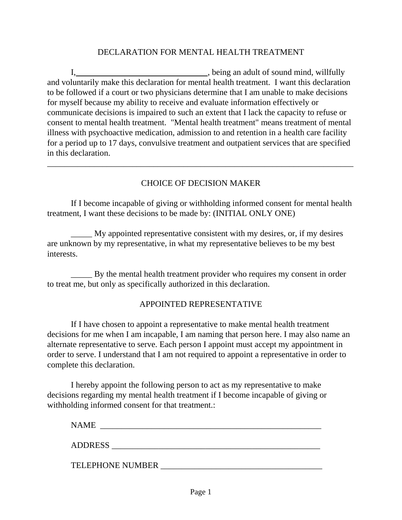#### DECLARATION FOR MENTAL HEALTH TREATMENT

I,  $\frac{1}{2}$  , being an adult of sound mind, willfully and voluntarily make this declaration for mental health treatment. I want this declaration to be followed if a court or two physicians determine that I am unable to make decisions for myself because my ability to receive and evaluate information effectively or communicate decisions is impaired to such an extent that I lack the capacity to refuse or consent to mental health treatment. "Mental health treatment" means treatment of mental illness with psychoactive medication, admission to and retention in a health care facility for a period up to 17 days, convulsive treatment and outpatient services that are specified in this declaration.

### CHOICE OF DECISION MAKER

\_\_\_\_\_\_\_\_\_\_\_\_\_\_\_\_\_\_\_\_\_\_\_\_\_\_\_\_\_\_\_\_\_\_\_\_\_\_\_\_\_\_\_\_\_\_\_\_\_\_\_\_\_\_\_\_\_\_\_\_\_\_\_\_\_\_\_\_\_\_\_\_

If I become incapable of giving or withholding informed consent for mental health treatment, I want these decisions to be made by: (INITIAL ONLY ONE)

\_\_\_\_\_ My appointed representative consistent with my desires, or, if my desires are unknown by my representative, in what my representative believes to be my best interests.

\_\_\_\_\_ By the mental health treatment provider who requires my consent in order to treat me, but only as specifically authorized in this declaration.

#### APPOINTED REPRESENTATIVE

If I have chosen to appoint a representative to make mental health treatment decisions for me when I am incapable, I am naming that person here. I may also name an alternate representative to serve. Each person I appoint must accept my appointment in order to serve. I understand that I am not required to appoint a representative in order to complete this declaration.

I hereby appoint the following person to act as my representative to make decisions regarding my mental health treatment if I become incapable of giving or withholding informed consent for that treatment.:

NAME \_\_\_\_\_\_\_\_\_\_\_\_\_\_\_\_\_\_\_\_\_\_\_\_\_\_\_\_\_\_\_\_\_\_\_\_\_\_\_\_\_\_\_\_\_\_\_\_\_\_\_\_

ADDRESS \_\_\_\_\_\_\_\_\_\_\_\_\_\_\_\_\_\_\_\_\_\_\_\_\_\_\_\_\_\_\_\_\_\_\_\_\_\_\_\_\_\_\_\_\_\_\_\_\_

TELEPHONE NUMBER \_\_\_\_\_\_\_\_\_\_\_\_\_\_\_\_\_\_\_\_\_\_\_\_\_\_\_\_\_\_\_\_\_\_\_\_\_\_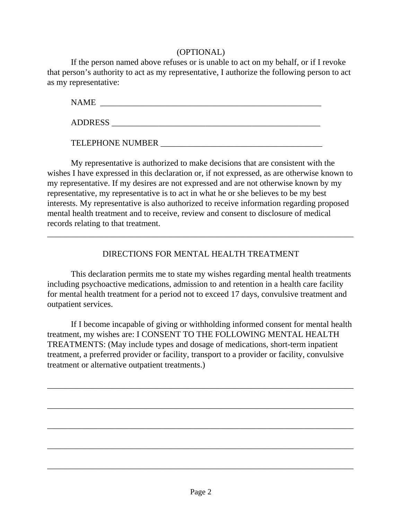### (OPTIONAL)

If the person named above refuses or is unable to act on my behalf, or if I revoke that person's authority to act as my representative, I authorize the following person to act as my representative:

NAME \_\_\_\_\_\_\_\_\_\_\_\_\_\_\_\_\_\_\_\_\_\_\_\_\_\_\_\_\_\_\_\_\_\_\_\_\_\_\_\_\_\_\_\_\_\_\_\_\_\_\_\_

ADDRESS \_\_\_\_\_\_\_\_\_\_\_\_\_\_\_\_\_\_\_\_\_\_\_\_\_\_\_\_\_\_\_\_\_\_\_\_\_\_\_\_\_\_\_\_\_\_\_\_\_

TELEPHONE NUMBER \_\_\_\_\_\_\_\_\_\_\_\_\_\_\_\_\_\_\_\_\_\_\_\_\_\_\_\_\_\_\_\_\_\_\_\_\_\_

My representative is authorized to make decisions that are consistent with the wishes I have expressed in this declaration or, if not expressed, as are otherwise known to my representative. If my desires are not expressed and are not otherwise known by my representative, my representative is to act in what he or she believes to be my best interests. My representative is also authorized to receive information regarding proposed mental health treatment and to receive, review and consent to disclosure of medical records relating to that treatment.

## DIRECTIONS FOR MENTAL HEALTH TREATMENT

\_\_\_\_\_\_\_\_\_\_\_\_\_\_\_\_\_\_\_\_\_\_\_\_\_\_\_\_\_\_\_\_\_\_\_\_\_\_\_\_\_\_\_\_\_\_\_\_\_\_\_\_\_\_\_\_\_\_\_\_\_\_\_\_\_\_\_\_\_\_\_\_

This declaration permits me to state my wishes regarding mental health treatments including psychoactive medications, admission to and retention in a health care facility for mental health treatment for a period not to exceed 17 days, convulsive treatment and outpatient services.

If I become incapable of giving or withholding informed consent for mental health treatment, my wishes are: I CONSENT TO THE FOLLOWING MENTAL HEALTH TREATMENTS: (May include types and dosage of medications, short-term inpatient treatment, a preferred provider or facility, transport to a provider or facility, convulsive treatment or alternative outpatient treatments.)

\_\_\_\_\_\_\_\_\_\_\_\_\_\_\_\_\_\_\_\_\_\_\_\_\_\_\_\_\_\_\_\_\_\_\_\_\_\_\_\_\_\_\_\_\_\_\_\_\_\_\_\_\_\_\_\_\_\_\_\_\_\_\_\_\_\_\_\_\_\_\_\_

\_\_\_\_\_\_\_\_\_\_\_\_\_\_\_\_\_\_\_\_\_\_\_\_\_\_\_\_\_\_\_\_\_\_\_\_\_\_\_\_\_\_\_\_\_\_\_\_\_\_\_\_\_\_\_\_\_\_\_\_\_\_\_\_\_\_\_\_\_\_\_\_

\_\_\_\_\_\_\_\_\_\_\_\_\_\_\_\_\_\_\_\_\_\_\_\_\_\_\_\_\_\_\_\_\_\_\_\_\_\_\_\_\_\_\_\_\_\_\_\_\_\_\_\_\_\_\_\_\_\_\_\_\_\_\_\_\_\_\_\_\_\_\_\_

\_\_\_\_\_\_\_\_\_\_\_\_\_\_\_\_\_\_\_\_\_\_\_\_\_\_\_\_\_\_\_\_\_\_\_\_\_\_\_\_\_\_\_\_\_\_\_\_\_\_\_\_\_\_\_\_\_\_\_\_\_\_\_\_\_\_\_\_\_\_\_\_

\_\_\_\_\_\_\_\_\_\_\_\_\_\_\_\_\_\_\_\_\_\_\_\_\_\_\_\_\_\_\_\_\_\_\_\_\_\_\_\_\_\_\_\_\_\_\_\_\_\_\_\_\_\_\_\_\_\_\_\_\_\_\_\_\_\_\_\_\_\_\_\_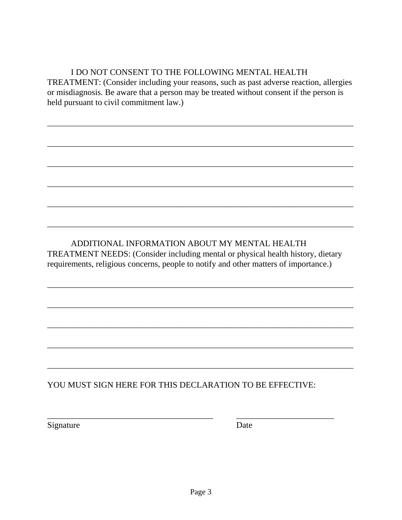## I DO NOT CONSENT TO THE FOLLOWING MENTAL HEALTH

TREATMENT: (Consider including your reasons, such as past adverse reaction, allergies or misdiagnosis. Be aware that a person may be treated without consent if the person is held pursuant to civil commitment law.)

\_\_\_\_\_\_\_\_\_\_\_\_\_\_\_\_\_\_\_\_\_\_\_\_\_\_\_\_\_\_\_\_\_\_\_\_\_\_\_\_\_\_\_\_\_\_\_\_\_\_\_\_\_\_\_\_\_\_\_\_\_\_\_\_\_\_\_\_\_\_\_\_

\_\_\_\_\_\_\_\_\_\_\_\_\_\_\_\_\_\_\_\_\_\_\_\_\_\_\_\_\_\_\_\_\_\_\_\_\_\_\_\_\_\_\_\_\_\_\_\_\_\_\_\_\_\_\_\_\_\_\_\_\_\_\_\_\_\_\_\_\_\_\_\_

\_\_\_\_\_\_\_\_\_\_\_\_\_\_\_\_\_\_\_\_\_\_\_\_\_\_\_\_\_\_\_\_\_\_\_\_\_\_\_\_\_\_\_\_\_\_\_\_\_\_\_\_\_\_\_\_\_\_\_\_\_\_\_\_\_\_\_\_\_\_\_\_

\_\_\_\_\_\_\_\_\_\_\_\_\_\_\_\_\_\_\_\_\_\_\_\_\_\_\_\_\_\_\_\_\_\_\_\_\_\_\_\_\_\_\_\_\_\_\_\_\_\_\_\_\_\_\_\_\_\_\_\_\_\_\_\_\_\_\_\_\_\_\_\_

\_\_\_\_\_\_\_\_\_\_\_\_\_\_\_\_\_\_\_\_\_\_\_\_\_\_\_\_\_\_\_\_\_\_\_\_\_\_\_\_\_\_\_\_\_\_\_\_\_\_\_\_\_\_\_\_\_\_\_\_\_\_\_\_\_\_\_\_\_\_\_\_

\_\_\_\_\_\_\_\_\_\_\_\_\_\_\_\_\_\_\_\_\_\_\_\_\_\_\_\_\_\_\_\_\_\_\_\_\_\_\_\_\_\_\_\_\_\_\_\_\_\_\_\_\_\_\_\_\_\_\_\_\_\_\_\_\_\_\_\_\_\_\_\_

\_\_\_\_\_\_\_\_\_\_\_\_\_\_\_\_\_\_\_\_\_\_\_\_\_\_\_\_\_\_\_\_\_\_\_\_\_\_\_\_\_\_\_\_\_\_\_\_\_\_\_\_\_\_\_\_\_\_\_\_\_\_\_\_\_\_\_\_\_\_\_\_

\_\_\_\_\_\_\_\_\_\_\_\_\_\_\_\_\_\_\_\_\_\_\_\_\_\_\_\_\_\_\_\_\_\_\_\_\_\_\_\_\_\_\_\_\_\_\_\_\_\_\_\_\_\_\_\_\_\_\_\_\_\_\_\_\_\_\_\_\_\_\_\_

\_\_\_\_\_\_\_\_\_\_\_\_\_\_\_\_\_\_\_\_\_\_\_\_\_\_\_\_\_\_\_\_\_\_\_\_\_\_\_\_\_\_\_\_\_\_\_\_\_\_\_\_\_\_\_\_\_\_\_\_\_\_\_\_\_\_\_\_\_\_\_\_

\_\_\_\_\_\_\_\_\_\_\_\_\_\_\_\_\_\_\_\_\_\_\_\_\_\_\_\_\_\_\_\_\_\_\_\_\_\_\_\_\_\_\_\_\_\_\_\_\_\_\_\_\_\_\_\_\_\_\_\_\_\_\_\_\_\_\_\_\_\_\_\_

\_\_\_\_\_\_\_\_\_\_\_\_\_\_\_\_\_\_\_\_\_\_\_\_\_\_\_\_\_\_\_\_\_\_\_\_\_\_\_\_\_\_\_\_\_\_\_\_\_\_\_\_\_\_\_\_\_\_\_\_\_\_\_\_\_\_\_\_\_\_\_\_

### ADDITIONAL INFORMATION ABOUT MY MENTAL HEALTH TREATMENT NEEDS: (Consider including mental or physical health history, dietary requirements, religious concerns, people to notify and other matters of importance.)

# YOU MUST SIGN HERE FOR THIS DECLARATION TO BE EFFECTIVE:

\_\_\_\_\_\_\_\_\_\_\_\_\_\_\_\_\_\_\_\_\_\_\_\_\_\_\_\_\_\_\_\_\_\_\_\_\_\_\_ \_\_\_\_\_\_\_\_\_\_\_\_\_\_\_\_\_\_\_\_\_\_\_

Signature Date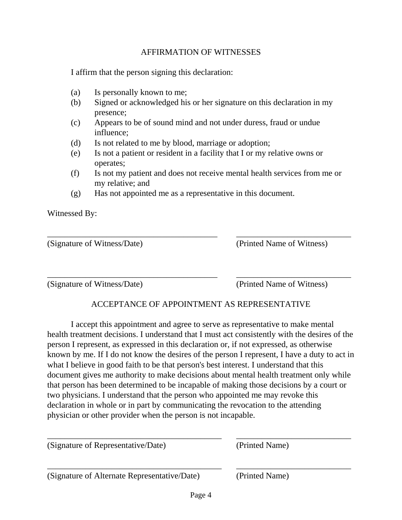#### AFFIRMATION OF WITNESSES

I affirm that the person signing this declaration:

- (a) Is personally known to me;
- (b) Signed or acknowledged his or her signature on this declaration in my presence;
- (c) Appears to be of sound mind and not under duress, fraud or undue influence;
- (d) Is not related to me by blood, marriage or adoption;
- (e) Is not a patient or resident in a facility that I or my relative owns or operates;

\_\_\_\_\_\_\_\_\_\_\_\_\_\_\_\_\_\_\_\_\_\_\_\_\_\_\_\_\_\_\_\_\_\_\_\_\_\_\_\_ \_\_\_\_\_\_\_\_\_\_\_\_\_\_\_\_\_\_\_\_\_\_\_\_\_\_\_

\_\_\_\_\_\_\_\_\_\_\_\_\_\_\_\_\_\_\_\_\_\_\_\_\_\_\_\_\_\_\_\_\_\_\_\_\_\_\_\_ \_\_\_\_\_\_\_\_\_\_\_\_\_\_\_\_\_\_\_\_\_\_\_\_\_\_\_

- (f) Is not my patient and does not receive mental health services from me or my relative; and
- (g) Has not appointed me as a representative in this document.

Witnessed By:

(Signature of Witness/Date) (Printed Name of Witness)

(Signature of Witness/Date) (Printed Name of Witness)

## ACCEPTANCE OF APPOINTMENT AS REPRESENTATIVE

I accept this appointment and agree to serve as representative to make mental health treatment decisions. I understand that I must act consistently with the desires of the person I represent, as expressed in this declaration or, if not expressed, as otherwise known by me. If I do not know the desires of the person I represent, I have a duty to act in what I believe in good faith to be that person's best interest. I understand that this document gives me authority to make decisions about mental health treatment only while that person has been determined to be incapable of making those decisions by a court or two physicians. I understand that the person who appointed me may revoke this declaration in whole or in part by communicating the revocation to the attending physician or other provider when the person is not incapable.

| (Signature of Representative/Date)           | (Printed Name) |  |
|----------------------------------------------|----------------|--|
| (Signature of Alternate Representative/Date) | (Printed Name) |  |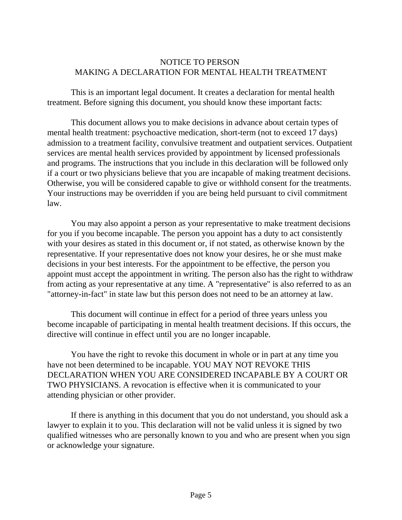#### NOTICE TO PERSON MAKING A DECLARATION FOR MENTAL HEALTH TREATMENT

This is an important legal document. It creates a declaration for mental health treatment. Before signing this document, you should know these important facts:

This document allows you to make decisions in advance about certain types of mental health treatment: psychoactive medication, short-term (not to exceed 17 days) admission to a treatment facility, convulsive treatment and outpatient services. Outpatient services are mental health services provided by appointment by licensed professionals and programs. The instructions that you include in this declaration will be followed only if a court or two physicians believe that you are incapable of making treatment decisions. Otherwise, you will be considered capable to give or withhold consent for the treatments. Your instructions may be overridden if you are being held pursuant to civil commitment law.

You may also appoint a person as your representative to make treatment decisions for you if you become incapable. The person you appoint has a duty to act consistently with your desires as stated in this document or, if not stated, as otherwise known by the representative. If your representative does not know your desires, he or she must make decisions in your best interests. For the appointment to be effective, the person you appoint must accept the appointment in writing. The person also has the right to withdraw from acting as your representative at any time. A "representative" is also referred to as an "attorney-in-fact" in state law but this person does not need to be an attorney at law.

This document will continue in effect for a period of three years unless you become incapable of participating in mental health treatment decisions. If this occurs, the directive will continue in effect until you are no longer incapable.

You have the right to revoke this document in whole or in part at any time you have not been determined to be incapable. YOU MAY NOT REVOKE THIS DECLARATION WHEN YOU ARE CONSIDERED INCAPABLE BY A COURT OR TWO PHYSICIANS. A revocation is effective when it is communicated to your attending physician or other provider.

If there is anything in this document that you do not understand, you should ask a lawyer to explain it to you. This declaration will not be valid unless it is signed by two qualified witnesses who are personally known to you and who are present when you sign or acknowledge your signature.